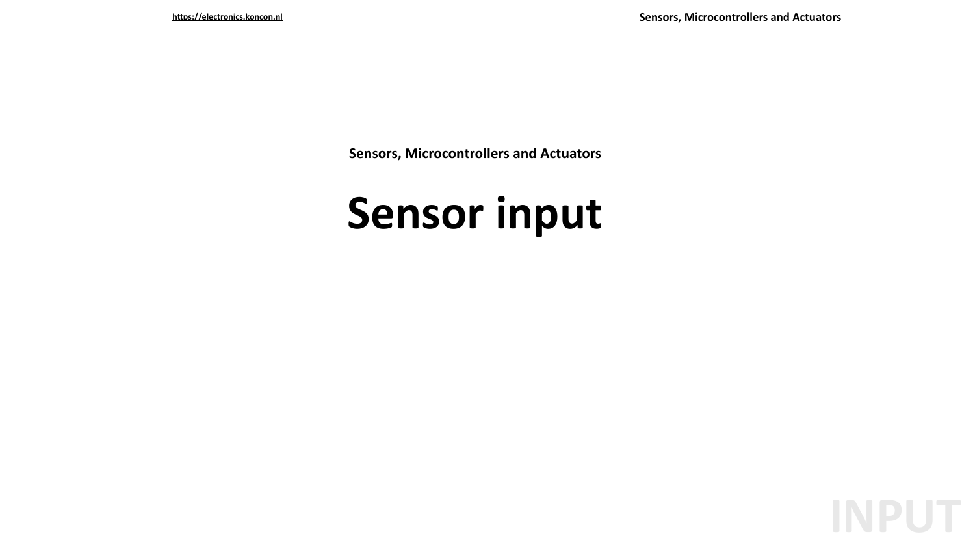**Sensors, Microcontrollers and Actuators** 

# Sensor input

**https://electronics.koncon.nl Sensors, Microcontrollers and Actuators**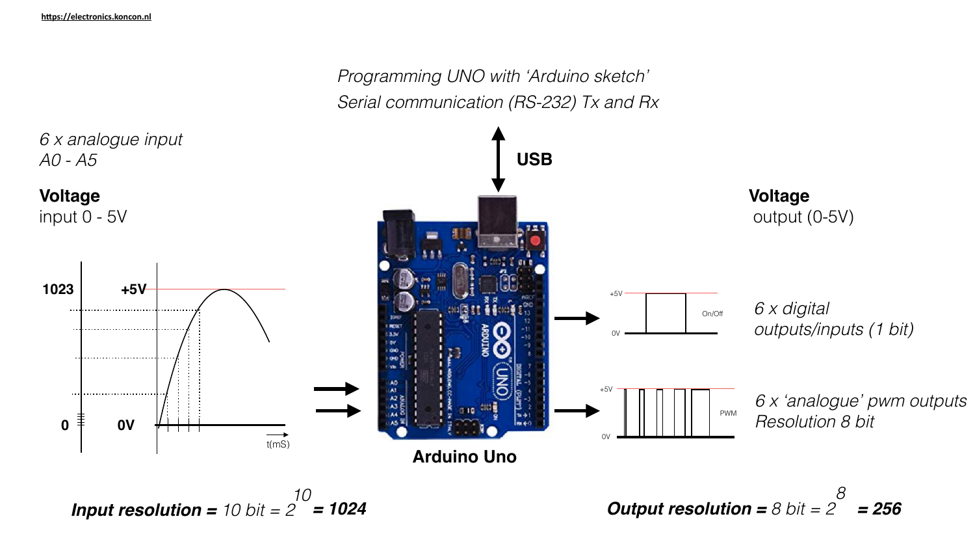

# *A0 - A5*

### **Voltage**

*Programming UNO with 'Arduino sketch' Serial communication (RS-232) Tx and Rx*

*Input resolution = 10 bit = 2 10*

*= 1024 Output resolution = 8 bit = 2 8 = 256*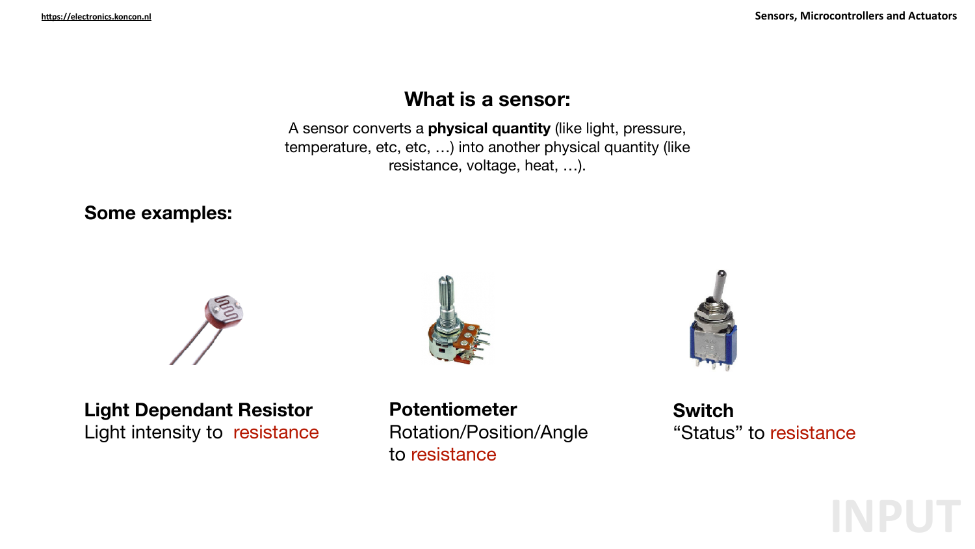A sensor converts a **physical quantity** (like light, pressure, temperature, etc, etc, …) into another physical quantity (like resistance, voltage, heat, …).

https://electronics.koncon.nl

### **What is a sensor:**

## **Light Dependant Resistor**

Light intensity to resistance

#### **Some examples:**





**Potentiometer**  Rotation/Position/Angle to resistance



**Switch**  "Status" to resistance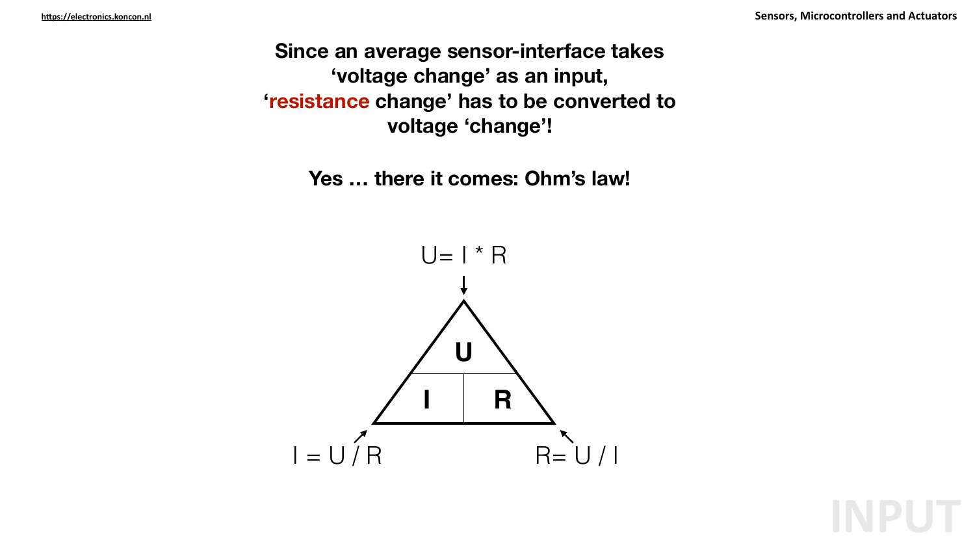- **Since an average sensor-interface takes 'voltage change' as an input, 'resistance change' has to be converted to** 
	- **voltage 'change'!**
	- **Yes … there it comes: Ohm's law!**



https://electronics.koncon.nl

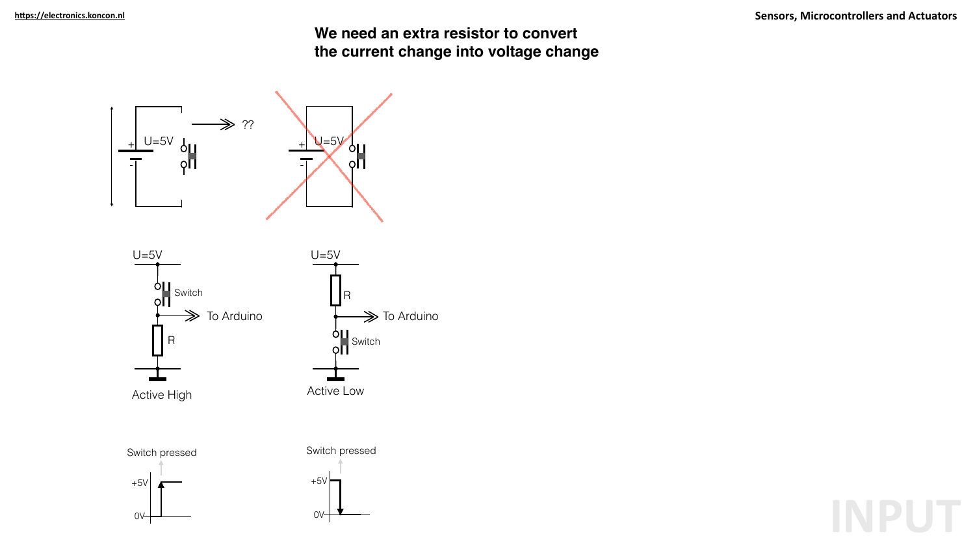#### **We need an extra resistor to convert the current change into voltage change**



**Sensors, Microcontrollers and Actuators**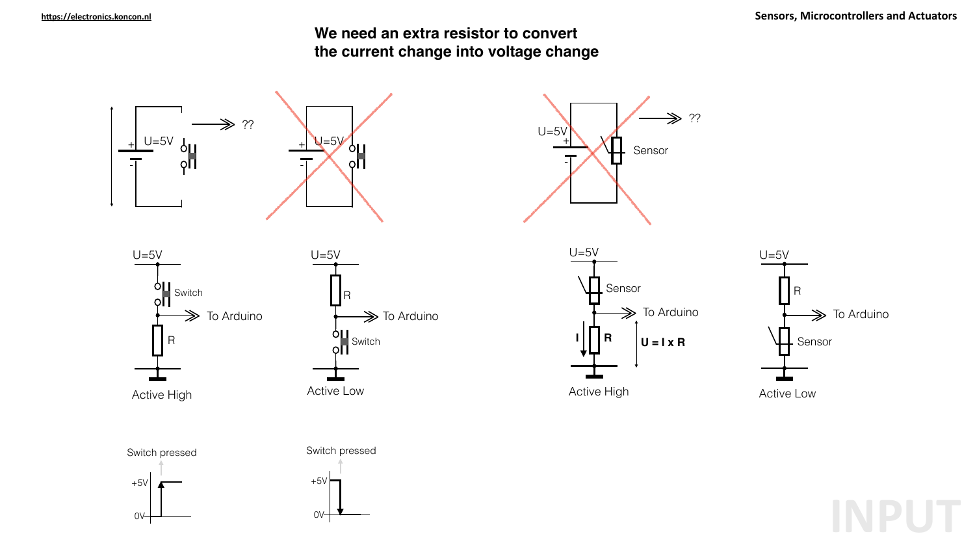



**Sensors, Microcontrollers and Actuators** 

#### **We need an extra resistor to convert the current change into voltage change**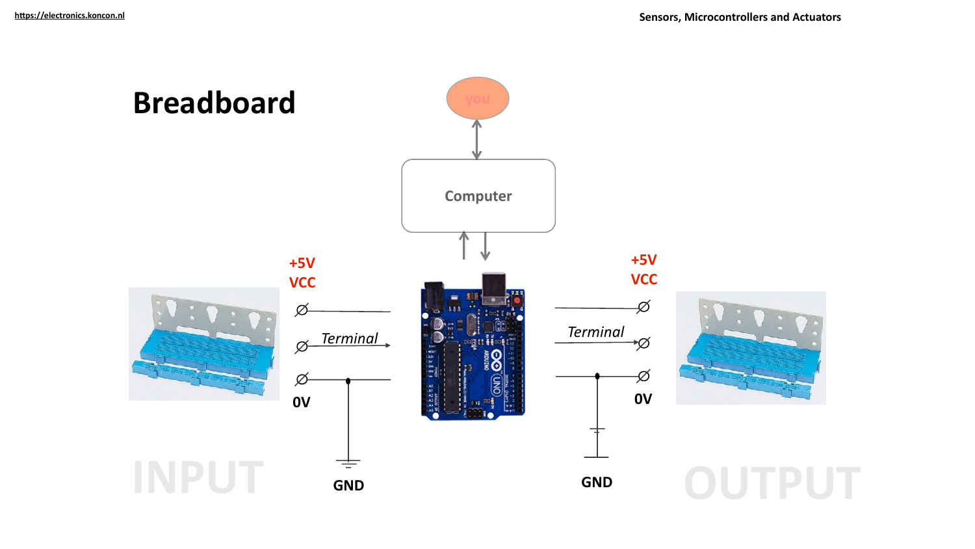



**Sensors, Microcontrollers and Actuators**